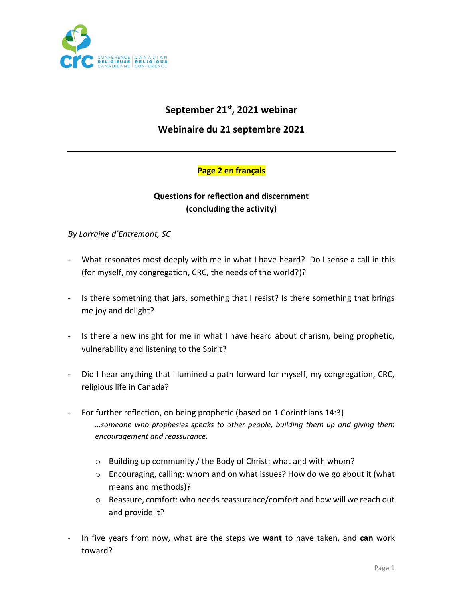

# **September 21st, 2021 webinar**

**Webinaire du 21 septembre 2021**

#### **Page 2 en français**

## **Questions for reflection and discernment (concluding the activity)**

#### *By Lorraine d'Entremont, SC*

- What resonates most deeply with me in what I have heard? Do I sense a call in this (for myself, my congregation, CRC, the needs of the world?)?
- Is there something that jars, something that I resist? Is there something that brings me joy and delight?
- Is there a new insight for me in what I have heard about charism, being prophetic, vulnerability and listening to the Spirit?
- Did I hear anything that illumined a path forward for myself, my congregation, CRC, religious life in Canada?
- For further reflection, on being prophetic (based on 1 Corinthians 14:3) *…someone who prophesies speaks to other people, building them up and giving them encouragement and reassurance.*
	- o Building up community / the Body of Christ: what and with whom?
	- o Encouraging, calling: whom and on what issues? How do we go about it (what means and methods)?
	- $\circ$  Reassure, comfort: who needs reassurance/comfort and how will we reach out and provide it?
- In five years from now, what are the steps we **want** to have taken, and **can** work toward?